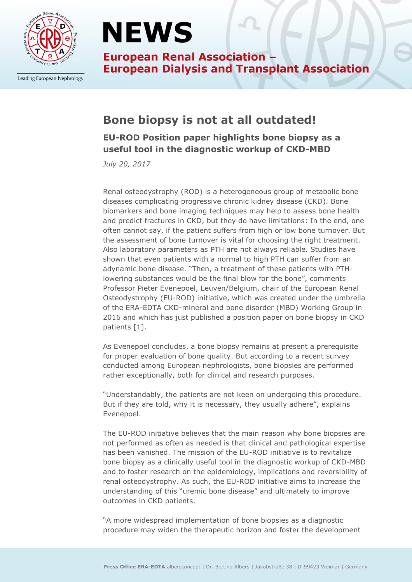

Leading European Nephrology

# **NEWS**

**European Renal Association -European Dialysis and Transplant Association** 

## **Bone biopsy is not at all outdated!**

**EU-ROD Position paper highlights bone biopsy as a useful tool in the diagnostic workup of CKD-MBD**

*July 20, 2017*

Renal osteodystrophy (ROD) is a heterogeneous group of metabolic bone diseases complicating progressive chronic kidney disease (CKD). Bone biomarkers and bone imaging techniques may help to assess bone health and predict fractures in CKD, but they do have limitations: In the end, one often cannot say, if the patient suffers from high or low bone turnover. But the assessment of bone turnover is vital for choosing the right treatment. Also laboratory parameters as PTH are not always reliable. Studies have shown that even patients with a normal to high PTH can suffer from an adynamic bone disease. "Then, a treatment of these patients with PTHlowering substances would be the final blow for the bone", comments Professor Pieter Evenepoel, Leuven/Belgium, chair of the European Renal Osteodystrophy (EU-ROD) initiative, which was created under the umbrella of the ERA-EDTA CKD-mineral and bone disorder (MBD) Working Group in 2016 and which has just published a position paper on bone biopsy in CKD patients [1].

As Evenepoel concludes, a bone biopsy remains at present a prerequisite for proper evaluation of bone quality. But according to a recent survey conducted among European nephrologists, bone biopsies are performed rather exceptionally, both for clinical and research purposes.

"Understandably, the patients are not keen on undergoing this procedure. But if they are told, why it is necessary, they usually adhere", explains Evenepoel.

The EU-ROD initiative believes that the main reason why bone biopsies are not performed as often as needed is that clinical and pathological expertise has been vanished. The mission of the EU-ROD initiative is to revitalize bone biopsy as a clinically useful tool in the diagnostic workup of CKD-MBD and to foster research on the epidemiology, implications and reversibility of renal osteodystrophy. As such, the EU-ROD initiative aims to increase the understanding of this "uremic bone disease" and ultimately to improve outcomes in CKD patients.

"A more widespread implementation of bone biopsies as a diagnostic procedure may widen the therapeutic horizon and foster the development